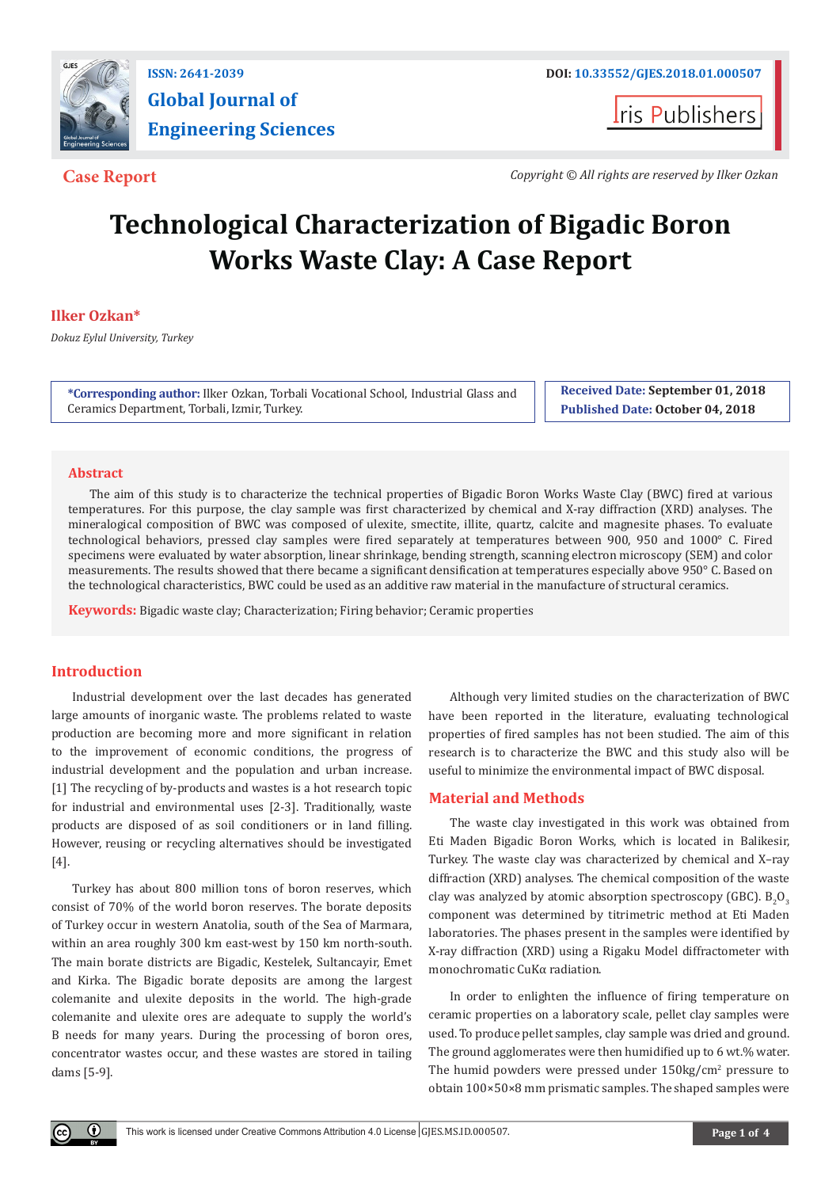

# **Global Journal of Engineering Sciences**

**Iris Publishers** 

**Case Report** *Copyright © All rights are reserved by Ilker Ozkan*

## **Technological Characterization of Bigadic Boron Works Waste Clay: A Case Report**

### **Ilker Ozkan\***

*Dokuz Eylul University, Turkey*

**\*Corresponding author:** Ilker Ozkan, Torbali Vocational School, Industrial Glass and Ceramics Department, Torbali, Izmir, Turkey.

**Received Date: September 01, 2018 Published Date: October 04, 2018**

#### **Abstract**

The aim of this study is to characterize the technical properties of Bigadic Boron Works Waste Clay (BWC) fired at various temperatures. For this purpose, the clay sample was first characterized by chemical and X-ray diffraction (XRD) analyses. The mineralogical composition of BWC was composed of ulexite, smectite, illite, quartz, calcite and magnesite phases. To evaluate technological behaviors, pressed clay samples were fired separately at temperatures between 900, 950 and 1000° C. Fired specimens were evaluated by water absorption, linear shrinkage, bending strength, scanning electron microscopy (SEM) and color measurements. The results showed that there became a significant densification at temperatures especially above 950° C. Based on the technological characteristics, BWC could be used as an additive raw material in the manufacture of structural ceramics.

**Keywords:** Bigadic waste clay; Characterization; Firing behavior; Ceramic properties

#### **Introduction**

Industrial development over the last decades has generated large amounts of inorganic waste. The problems related to waste production are becoming more and more significant in relation to the improvement of economic conditions, the progress of industrial development and the population and urban increase. [1] The recycling of by-products and wastes is a hot research topic for industrial and environmental uses [2-3]. Traditionally, waste products are disposed of as soil conditioners or in land filling. However, reusing or recycling alternatives should be investigated [4].

Turkey has about 800 million tons of boron reserves, which consist of 70% of the world boron reserves. The borate deposits of Turkey occur in western Anatolia, south of the Sea of Marmara, within an area roughly 300 km east-west by 150 km north-south. The main borate districts are Bigadic, Kestelek, Sultancayir, Emet and Kirka. The Bigadic borate deposits are among the largest colemanite and ulexite deposits in the world. The high-grade colemanite and ulexite ores are adequate to supply the world's B needs for many years. During the processing of boron ores, concentrator wastes occur, and these wastes are stored in tailing dams [5-9].

Although very limited studies on the characterization of BWC have been reported in the literature, evaluating technological properties of fired samples has not been studied. The aim of this research is to characterize the BWC and this study also will be useful to minimize the environmental impact of BWC disposal.

#### **Material and Methods**

The waste clay investigated in this work was obtained from Eti Maden Bigadic Boron Works, which is located in Balikesir, Turkey. The waste clay was characterized by chemical and X–ray diffraction (XRD) analyses. The chemical composition of the waste clay was analyzed by atomic absorption spectroscopy (GBC).  $B_2O_3$ component was determined by titrimetric method at Eti Maden laboratories. The phases present in the samples were identified by X-ray diffraction (XRD) using a Rigaku Model diffractometer with monochromatic CuKα radiation.

In order to enlighten the influence of firing temperature on ceramic properties on a laboratory scale, pellet clay samples were used. To produce pellet samples, clay sample was dried and ground. The ground agglomerates were then humidified up to 6 wt.% water. The humid powders were pressed under 150kg/cm<sup>2</sup> pressure to obtain 100×50×8 mm prismatic samples. The shaped samples were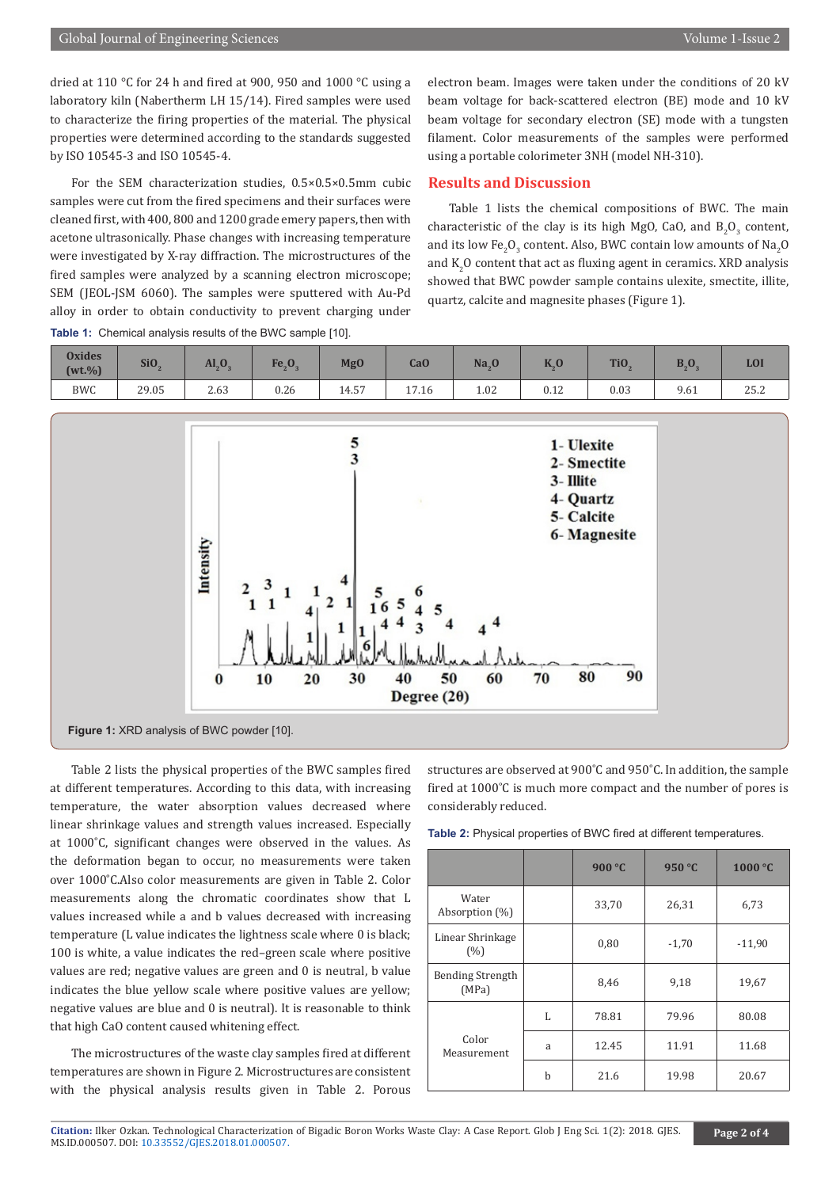dried at 110 °C for 24 h and fired at 900, 950 and 1000 °C using a laboratory kiln (Nabertherm LH 15/14). Fired samples were used to characterize the firing properties of the material. The physical properties were determined according to the standards suggested by ISO 10545-3 and ISO 10545-4.

For the SEM characterization studies, 0.5×0.5×0.5mm cubic samples were cut from the fired specimens and their surfaces were cleaned first, with 400, 800 and 1200 grade emery papers, then with acetone ultrasonically. Phase changes with increasing temperature were investigated by X-ray diffraction. The microstructures of the fired samples were analyzed by a scanning electron microscope; SEM (JEOL-JSM 6060). The samples were sputtered with Au-Pd alloy in order to obtain conductivity to prevent charging under

**Table 1:** Chemical analysis results of the BWC sample [10].

electron beam. Images were taken under the conditions of 20 kV beam voltage for back-scattered electron (BE) mode and 10 kV beam voltage for secondary electron (SE) mode with a tungsten filament. Color measurements of the samples were performed using a portable colorimeter 3NH (model NH-310).

#### **Results and Discussion**

Table 1 lists the chemical compositions of BWC. The main characteristic of the clay is its high MgO, CaO, and  $B_2O_3$  content, and its low Fe<sub>2</sub>O<sub>3</sub> content. Also, BWC contain low amounts of Na<sub>2</sub>O and  $K_2O$  content that act as fluxing agent in ceramics. XRD analysis showed that BWC powder sample contains ulexite, smectite, illite, quartz, calcite and magnesite phases (Figure 1).

| <b>Oxides</b><br>$(wt.\%)$ | Si <sub>O</sub> | AI <sub>2</sub> O <sub>2</sub> | Fe <sub>2</sub> O <sub>2</sub> | MgO         | Ca <sub>0</sub> | Na <sub>2</sub> |      | TiO. | L, U | <b>LOI</b> |
|----------------------------|-----------------|--------------------------------|--------------------------------|-------------|-----------------|-----------------|------|------|------|------------|
| <b>BWC</b>                 | 29.05           | 2.63                           | 0.26                           | ピワ<br>14.57 | 17.16           | 1.02            | 0.12 | 0.03 | 9.61 | 25.2       |



Table 2 lists the physical properties of the BWC samples fired at different temperatures. According to this data, with increasing temperature, the water absorption values decreased where linear shrinkage values and strength values increased. Especially at 1000˚C, significant changes were observed in the values. As the deformation began to occur, no measurements were taken over 1000˚C.Also color measurements are given in Table 2. Color measurements along the chromatic coordinates show that L values increased while a and b values decreased with increasing temperature (L value indicates the lightness scale where 0 is black; 100 is white, a value indicates the red–green scale where positive values are red; negative values are green and 0 is neutral, b value indicates the blue yellow scale where positive values are yellow; negative values are blue and 0 is neutral). It is reasonable to think that high CaO content caused whitening effect.

The microstructures of the waste clay samples fired at different temperatures are shown in Figure 2. Microstructures are consistent with the physical analysis results given in Table 2. Porous structures are observed at 900˚C and 950˚C. In addition, the sample fired at 1000˚C is much more compact and the number of pores is considerably reduced.

**Table 2:** Physical properties of BWC fired at different temperatures.

|                                  |   | 900 °C | 950 °C  | 1000 °C  |
|----------------------------------|---|--------|---------|----------|
| Water<br>Absorption $(\%)$       |   | 33,70  | 26,31   | 6,73     |
| Linear Shrinkage<br>(%)          |   | 0,80   | $-1,70$ | $-11,90$ |
| <b>Bending Strength</b><br>(MPa) |   | 8,46   | 9,18    | 19,67    |
|                                  | L | 78.81  | 79.96   | 80.08    |
| Color<br>Measurement             | a | 12.45  | 11.91   | 11.68    |
|                                  | b | 21.6   | 19.98   | 20.67    |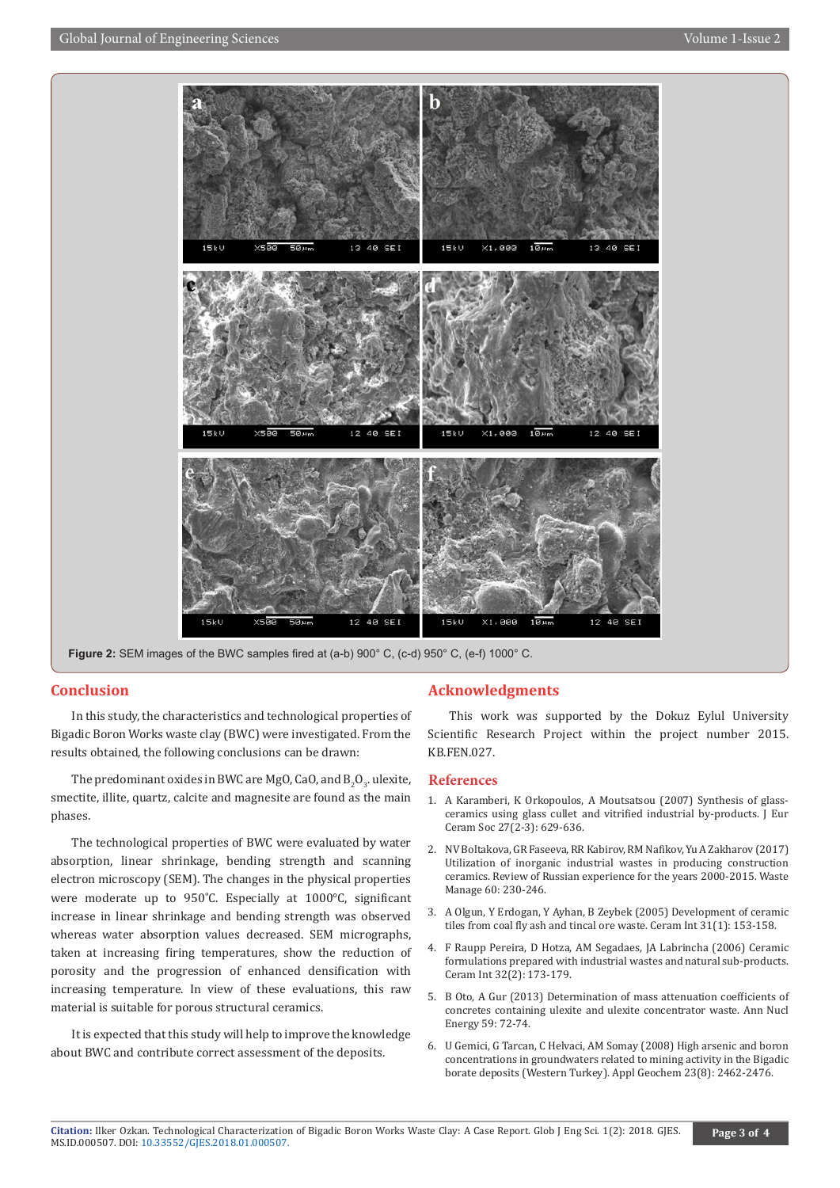

Figure 2: SEM images of the BWC samples fired at (a-b) 900° C, (c-d) 950° C, (e-f) 1000° C.

#### **Conclusion**

In this study, the characteristics and technological properties of Bigadic Boron Works waste clay (BWC) were investigated. From the results obtained, the following conclusions can be drawn:

The predominant oxides in BWC are MgO, CaO, and  $B_2O_3$ . ulexite, smectite, illite, quartz, calcite and magnesite are found as the main phases.

The technological properties of BWC were evaluated by water absorption, linear shrinkage, bending strength and scanning electron microscopy (SEM). The changes in the physical properties were moderate up to 950˚C. Especially at 1000°C, significant increase in linear shrinkage and bending strength was observed whereas water absorption values decreased. SEM micrographs, taken at increasing firing temperatures, show the reduction of porosity and the progression of enhanced densification with increasing temperature. In view of these evaluations, this raw material is suitable for porous structural ceramics.

It is expected that this study will help to improve the knowledge about BWC and contribute correct assessment of the deposits.

#### **Acknowledgments**

This work was supported by the Dokuz Eylul University Scientific Research Project within the project number 2015. KB.FEN.027.

#### **References**

- 1. A Karamberi, K Orkopoulos, A Moutsatsou (2007) Synthesis of glassceramics using glass cullet and vitrified industrial by-products. J Eur Ceram Soc 27(2-3): 629-636.
- 2. [NV Boltakova, GR Faseeva, RR Kabirov, RM Nafikov, Yu A Zakharov \(2017\)](https://www.ncbi.nlm.nih.gov/pubmed/27847233) [Utilization of inorganic industrial wastes in producing construction](https://www.ncbi.nlm.nih.gov/pubmed/27847233) [ceramics. Review of Russian experience for the years 2000-2015. Waste](https://www.ncbi.nlm.nih.gov/pubmed/27847233) [Manage 60: 230-246.](https://www.ncbi.nlm.nih.gov/pubmed/27847233)
- 3. [A Olgun, Y Erdogan, Y Ayhan, B Zeybek \(2005\) Development of ceramic](https://www.sciencedirect.com/science/article/pii/S0272884204003141) [tiles from coal fly ash and tincal ore waste. Ceram Int 31\(1\): 153-158.](https://www.sciencedirect.com/science/article/pii/S0272884204003141)
- 4. [F Raupp Pereira, D Hotza, AM Segadaes, JA Labrincha \(2006\) Ceramic](https://www.sciencedirect.com/science/article/pii/S0272884205000532) [formulations prepared with industrial wastes and natural sub-products.](https://www.sciencedirect.com/science/article/pii/S0272884205000532) [Ceram Int 32\(2\): 173-179.](https://www.sciencedirect.com/science/article/pii/S0272884205000532)
- 5. [B Oto, A Gur \(2013\) Determination of mass attenuation coefficients of](https://www.sciencedirect.com/science/article/pii/S0306454913001412) [concretes containing ulexite and ulexite concentrator waste. Ann Nucl](https://www.sciencedirect.com/science/article/pii/S0306454913001412) [Energy 59: 72-74.](https://www.sciencedirect.com/science/article/pii/S0306454913001412)
- 6. [U Gemici, G Tarcan, C Helvaci, AM Somay \(2008\) High arsenic and boron](https://www.sciencedirect.com/science/article/pii/S0883292708000899) [concentrations in groundwaters related to mining activity in the Bigadic](https://www.sciencedirect.com/science/article/pii/S0883292708000899) [borate deposits \(Western Turkey\). Appl Geochem 23\(8\): 2462-2476.](https://www.sciencedirect.com/science/article/pii/S0883292708000899)